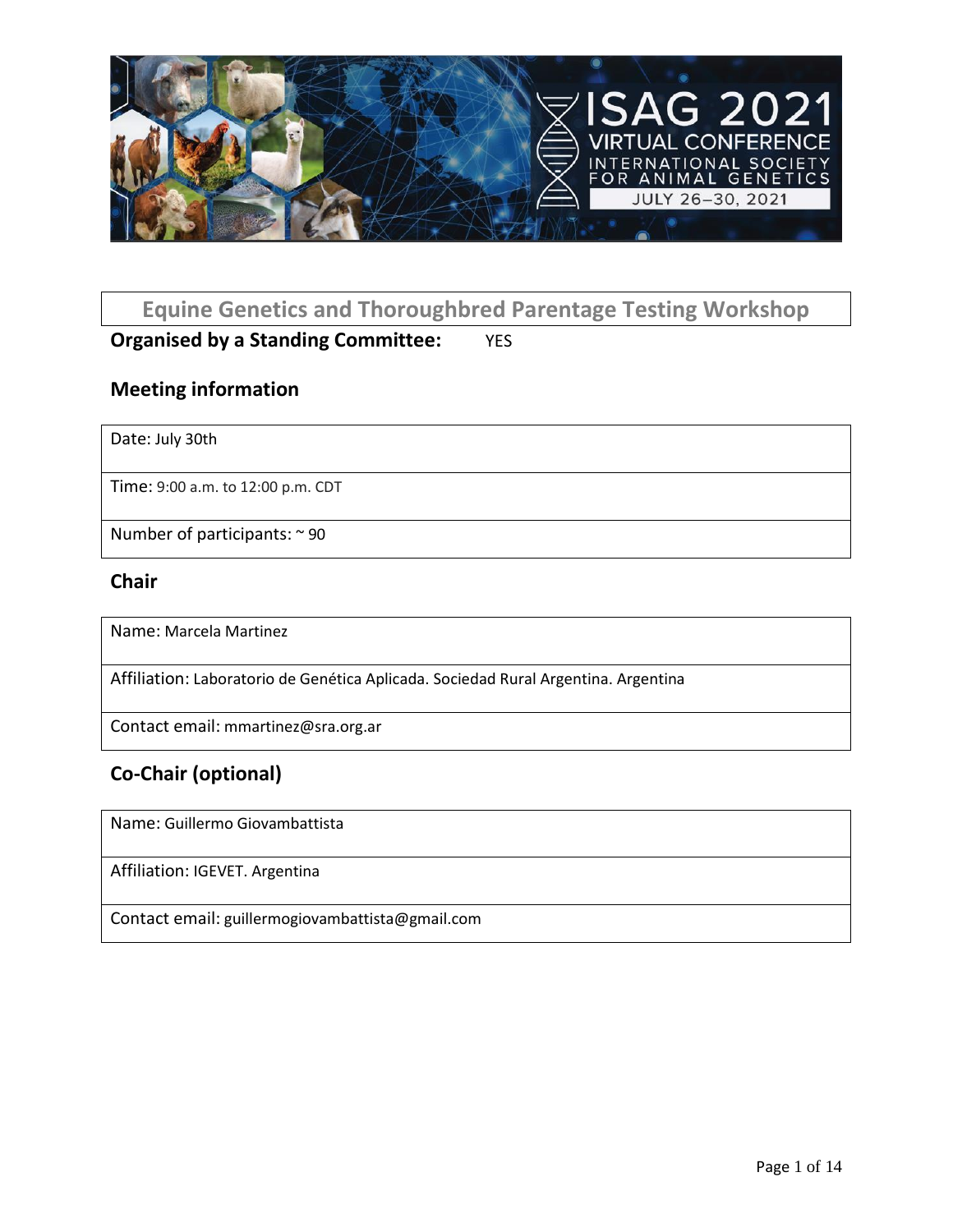

### **Equine Genetics and Thoroughbred Parentage Testing Workshop**

### **Organised by a Standing Committee:** YES

#### **Meeting information**

Date: July 30th

Time: 9:00 a.m. to 12:00 p.m. CDT

Number of participants: ~ 90

#### **Chair**

Name: Marcela Martinez

Affiliation: Laboratorio de Genética Aplicada. Sociedad Rural Argentina. Argentina

Contact email: mmartinez@sra.org.ar

### **Co-Chair (optional)**

Name: Guillermo Giovambattista

Affiliation: IGEVET. Argentina

Contact email: guillermogiovambattista@gmail.com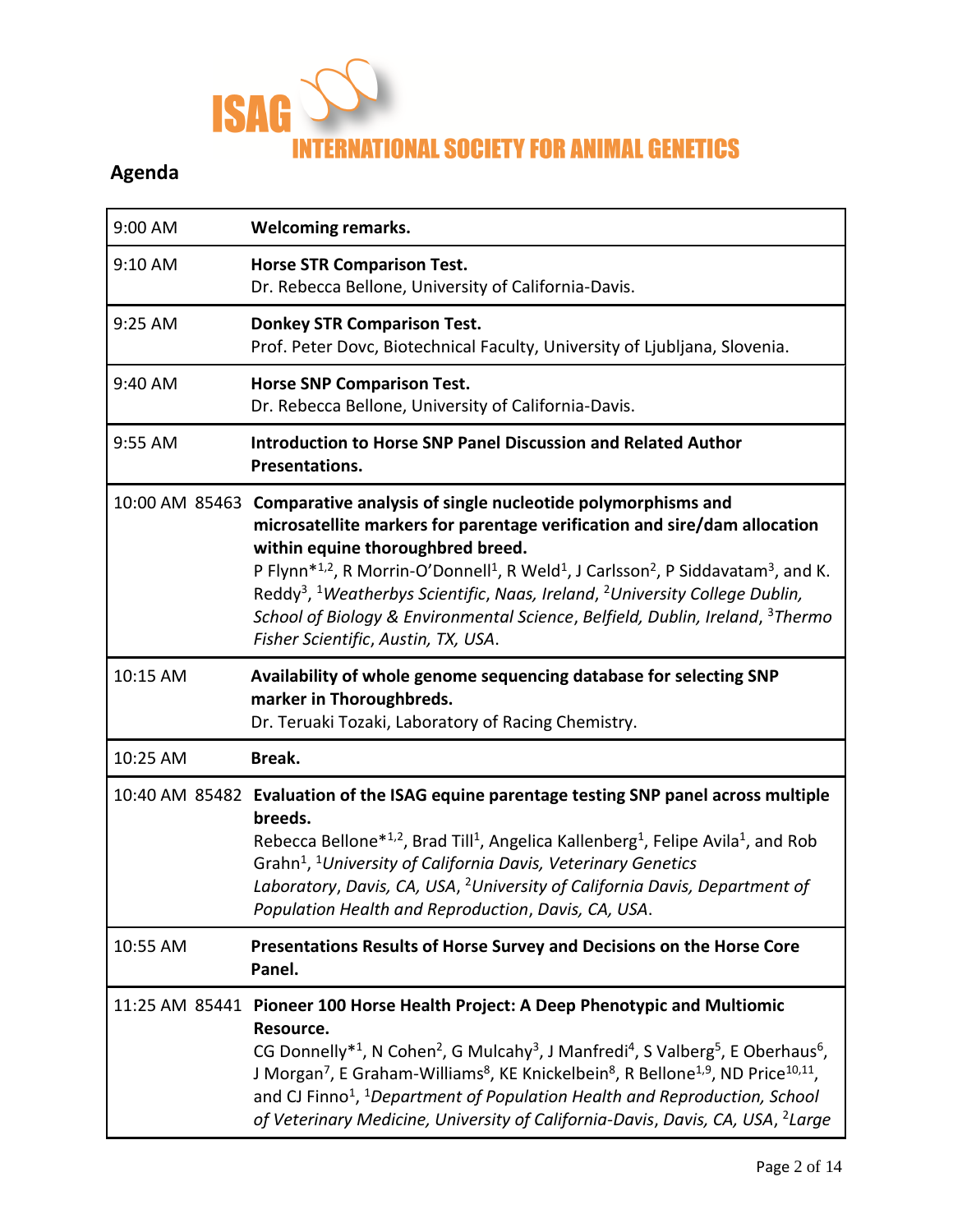

## **Agenda**

| 9:00 AM  | <b>Welcoming remarks.</b>                                                                                                                                                                                                                                                                                                                                                                                                                                                                                                                                                                                     |
|----------|---------------------------------------------------------------------------------------------------------------------------------------------------------------------------------------------------------------------------------------------------------------------------------------------------------------------------------------------------------------------------------------------------------------------------------------------------------------------------------------------------------------------------------------------------------------------------------------------------------------|
| 9:10 AM  | <b>Horse STR Comparison Test.</b><br>Dr. Rebecca Bellone, University of California-Davis.                                                                                                                                                                                                                                                                                                                                                                                                                                                                                                                     |
| 9:25 AM  | <b>Donkey STR Comparison Test.</b><br>Prof. Peter Dovc, Biotechnical Faculty, University of Ljubljana, Slovenia.                                                                                                                                                                                                                                                                                                                                                                                                                                                                                              |
| 9:40 AM  | <b>Horse SNP Comparison Test.</b><br>Dr. Rebecca Bellone, University of California-Davis.                                                                                                                                                                                                                                                                                                                                                                                                                                                                                                                     |
| 9:55 AM  | <b>Introduction to Horse SNP Panel Discussion and Related Author</b><br>Presentations.                                                                                                                                                                                                                                                                                                                                                                                                                                                                                                                        |
|          | 10:00 AM 85463 Comparative analysis of single nucleotide polymorphisms and<br>microsatellite markers for parentage verification and sire/dam allocation<br>within equine thoroughbred breed.<br>P Flynn <sup>*1,2</sup> , R Morrin-O'Donnell <sup>1</sup> , R Weld <sup>1</sup> , J Carlsson <sup>2</sup> , P Siddavatam <sup>3</sup> , and K.<br>Reddy <sup>3</sup> , <sup>1</sup> Weatherbys Scientific, Naas, Ireland, <sup>2</sup> University College Dublin,<br>School of Biology & Environmental Science, Belfield, Dublin, Ireland, <sup>3</sup> Thermo<br>Fisher Scientific, Austin, TX, USA.         |
| 10:15 AM | Availability of whole genome sequencing database for selecting SNP<br>marker in Thoroughbreds.<br>Dr. Teruaki Tozaki, Laboratory of Racing Chemistry.                                                                                                                                                                                                                                                                                                                                                                                                                                                         |
| 10:25 AM | Break.                                                                                                                                                                                                                                                                                                                                                                                                                                                                                                                                                                                                        |
|          | 10:40 AM 85482 Evaluation of the ISAG equine parentage testing SNP panel across multiple<br>breeds.<br>Rebecca Bellone <sup>*1,2</sup> , Brad Till <sup>1</sup> , Angelica Kallenberg <sup>1</sup> , Felipe Avila <sup>1</sup> , and Rob<br>Grahn <sup>1</sup> , <sup>1</sup> University of California Davis, Veterinary Genetics<br>Laboratory, Davis, CA, USA, <sup>2</sup> University of California Davis, Department of<br>Population Health and Reproduction, Davis, CA, USA.                                                                                                                            |
| 10:55 AM | Presentations Results of Horse Survey and Decisions on the Horse Core<br>Panel.                                                                                                                                                                                                                                                                                                                                                                                                                                                                                                                               |
|          | 11:25 AM 85441 Pioneer 100 Horse Health Project: A Deep Phenotypic and Multiomic<br>Resource.<br>CG Donnelly <sup>*1</sup> , N Cohen <sup>2</sup> , G Mulcahy <sup>3</sup> , J Manfredi <sup>4</sup> , S Valberg <sup>5</sup> , E Oberhaus <sup>6</sup> ,<br>J Morgan <sup>7</sup> , E Graham-Williams <sup>8</sup> , KE Knickelbein <sup>8</sup> , R Bellone <sup>1,9</sup> , ND Price <sup>10,11</sup> ,<br>and CJ Finno <sup>1</sup> , <sup>1</sup> Department of Population Health and Reproduction, School<br>of Veterinary Medicine, University of California-Davis, Davis, CA, USA, <sup>2</sup> Large |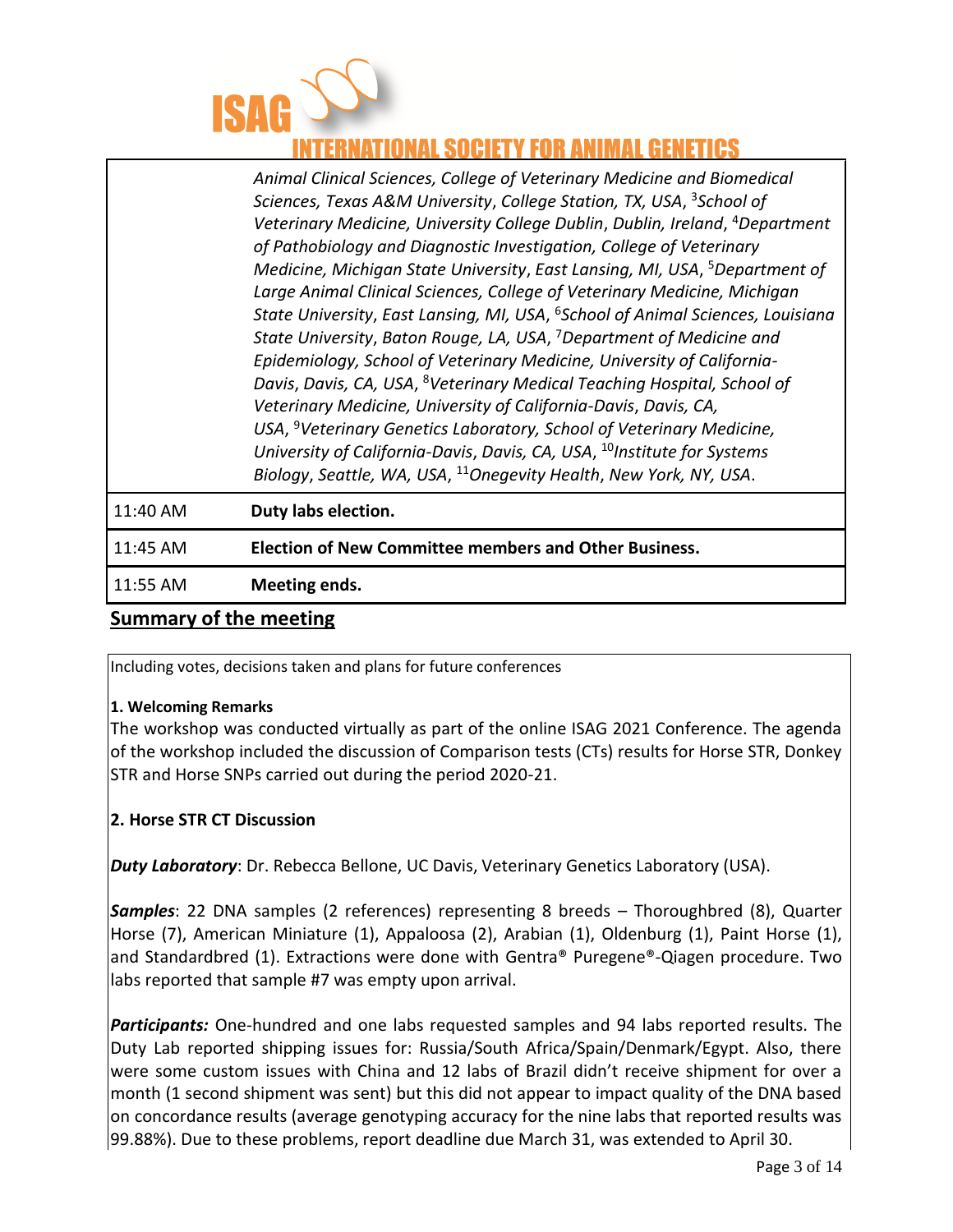

### **XTIONAL SOCIETY FOR ANIMAL GENETICS**

|          | Animal Clinical Sciences, College of Veterinary Medicine and Biomedical                    |
|----------|--------------------------------------------------------------------------------------------|
|          | Sciences, Texas A&M University, College Station, TX, USA, <sup>3</sup> School of           |
|          | Veterinary Medicine, University College Dublin, Dublin, Ireland, <sup>4</sup> Department   |
|          | of Pathobiology and Diagnostic Investigation, College of Veterinary                        |
|          | Medicine, Michigan State University, East Lansing, MI, USA, <sup>5</sup> Department of     |
|          | Large Animal Clinical Sciences, College of Veterinary Medicine, Michigan                   |
|          | State University, East Lansing, MI, USA, <sup>6</sup> School of Animal Sciences, Louisiana |
|          | State University, Baton Rouge, LA, USA, <sup>7</sup> Department of Medicine and            |
|          | Epidemiology, School of Veterinary Medicine, University of California-                     |
|          | Davis, Davis, CA, USA, <sup>8</sup> Veterinary Medical Teaching Hospital, School of        |
|          | Veterinary Medicine, University of California-Davis, Davis, CA,                            |
|          | USA, <sup>9</sup> Veterinary Genetics Laboratory, School of Veterinary Medicine,           |
|          | University of California-Davis, Davis, CA, USA, <sup>10</sup> Institute for Systems        |
|          | Biology, Seattle, WA, USA, <sup>11</sup> Onegevity Health, New York, NY, USA.              |
| 11:40 AM | Duty labs election.                                                                        |
| 11:45 AM | <b>Election of New Committee members and Other Business.</b>                               |

11:55 AM **Meeting ends.**

# **Summary of the meeting**

Including votes, decisions taken and plans for future conferences

#### **1. Welcoming Remarks**

The workshop was conducted virtually as part of the online ISAG 2021 Conference. The agenda of the workshop included the discussion of Comparison tests (CTs) results for Horse STR, Donkey STR and Horse SNPs carried out during the period 2020-21.

#### **2. Horse STR CT Discussion**

*Duty Laboratory*: Dr. Rebecca Bellone, UC Davis, Veterinary Genetics Laboratory (USA).

*Samples*: 22 DNA samples (2 references) representing 8 breeds – Thoroughbred (8), Quarter Horse (7), American Miniature (1), Appaloosa (2), Arabian (1), Oldenburg (1), Paint Horse (1), and Standardbred (1). Extractions were done with Gentra® Puregene®-Qiagen procedure. Two labs reported that sample #7 was empty upon arrival.

*Participants:* One-hundred and one labs requested samples and 94 labs reported results. The Duty Lab reported shipping issues for: Russia/South Africa/Spain/Denmark/Egypt. Also, there were some custom issues with China and 12 labs of Brazil didn't receive shipment for over a month (1 second shipment was sent) but this did not appear to impact quality of the DNA based on concordance results (average genotyping accuracy for the nine labs that reported results was 99.88%). Due to these problems, report deadline due March 31, was extended to April 30.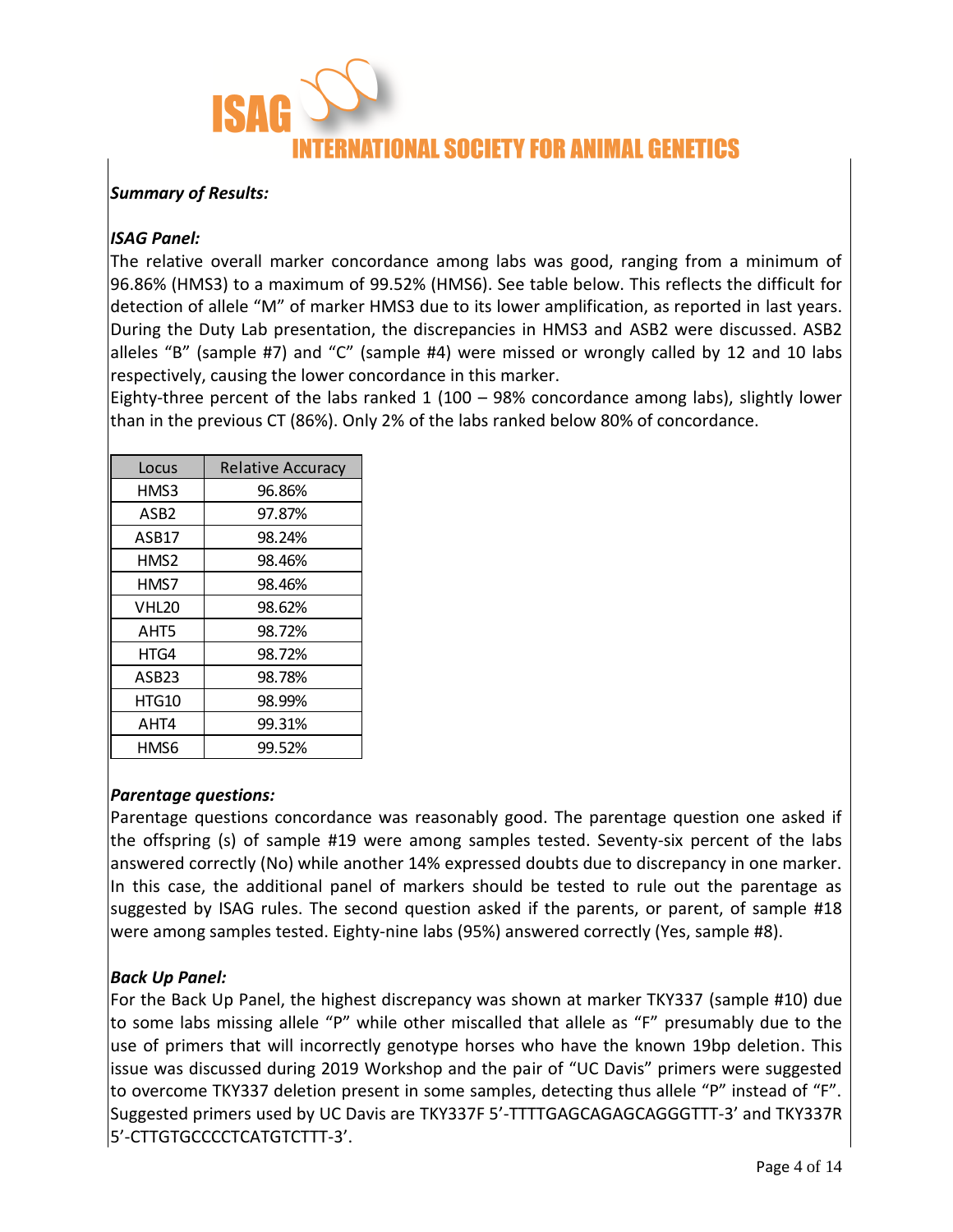

#### *Summary of Results:*

#### *ISAG Panel:*

The relative overall marker concordance among labs was good, ranging from a minimum of 96.86% (HMS3) to a maximum of 99.52% (HMS6). See table below. This reflects the difficult for detection of allele "M" of marker HMS3 due to its lower amplification, as reported in last years. During the Duty Lab presentation, the discrepancies in HMS3 and ASB2 were discussed. ASB2 alleles "B" (sample #7) and "C" (sample #4) were missed or wrongly called by 12 and 10 labs respectively, causing the lower concordance in this marker.

Eighty-three percent of the labs ranked  $1$  (100 – 98% concordance among labs), slightly lower than in the previous CT (86%). Only 2% of the labs ranked below 80% of concordance.

| Locus             | <b>Relative Accuracy</b> |  |  |
|-------------------|--------------------------|--|--|
| HMS3              | 96.86%                   |  |  |
| ASB <sub>2</sub>  | 97.87%                   |  |  |
| ASB17             | 98.24%                   |  |  |
| HMS2              | 98.46%                   |  |  |
| HMS7              | 98.46%                   |  |  |
| VHL <sub>20</sub> | 98.62%                   |  |  |
| AHT5              | 98.72%                   |  |  |
| HTG4              | 98.72%                   |  |  |
| ASB <sub>23</sub> | 98.78%                   |  |  |
| HTG10             | 98.99%                   |  |  |
| AHT4              | 99.31%                   |  |  |
| HMS6              | 99.52%                   |  |  |

#### *Parentage questions:*

Parentage questions concordance was reasonably good. The parentage question one asked if the offspring (s) of sample #19 were among samples tested. Seventy-six percent of the labs answered correctly (No) while another 14% expressed doubts due to discrepancy in one marker. In this case, the additional panel of markers should be tested to rule out the parentage as suggested by ISAG rules. The second question asked if the parents, or parent, of sample #18 were among samples tested. Eighty-nine labs (95%) answered correctly (Yes, sample #8).

#### *Back Up Panel:*

For the Back Up Panel, the highest discrepancy was shown at marker TKY337 (sample #10) due to some labs missing allele "P" while other miscalled that allele as "F" presumably due to the use of primers that will incorrectly genotype horses who have the known 19bp deletion. This issue was discussed during 2019 Workshop and the pair of "UC Davis" primers were suggested to overcome TKY337 deletion present in some samples, detecting thus allele "P" instead of "F". Suggested primers used by UC Davis are TKY337F 5'-TTTTGAGCAGAGCAGGGTTT-3' and TKY337R 5'-CTTGTGCCCCTCATGTCTTT-3'.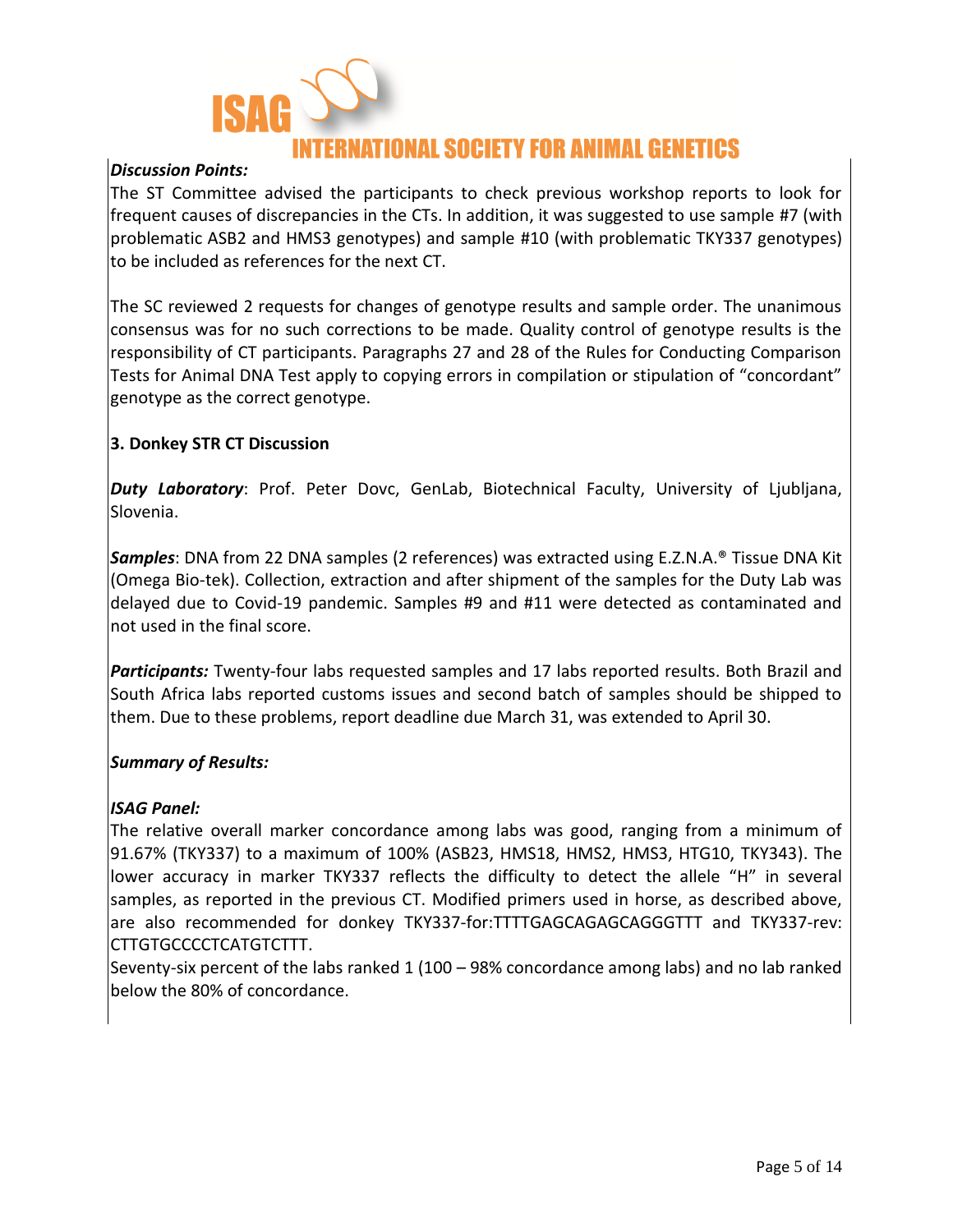

### IONAL SOCIETY FOR ANIMAL GENETICS

#### *Discussion Points:*

The ST Committee advised the participants to check previous workshop reports to look for frequent causes of discrepancies in the CTs. In addition, it was suggested to use sample #7 (with problematic ASB2 and HMS3 genotypes) and sample #10 (with problematic TKY337 genotypes) to be included as references for the next CT.

The SC reviewed 2 requests for changes of genotype results and sample order. The unanimous consensus was for no such corrections to be made. Quality control of genotype results is the responsibility of CT participants. Paragraphs 27 and 28 of the Rules for Conducting Comparison Tests for Animal DNA Test apply to copying errors in compilation or stipulation of "concordant" genotype as the correct genotype.

#### **3. Donkey STR CT Discussion**

*Duty Laboratory*: Prof. Peter Dovc, GenLab, Biotechnical Faculty, University of Ljubljana, Slovenia.

*Samples*: DNA from 22 DNA samples (2 references) was extracted using E.Z.N.A.® Tissue DNA Kit (Omega Bio-te[k\).](https://www.omegabiotek.com/product/e-z-n-a-tissue-dna-kit/) Collection, extraction and after shipment of the samples for the Duty Lab was delayed due to Covid-19 pandemic. Samples #9 and #11 were detected as contaminated and not used in the final score.

*Participants:* Twenty-four labs requested samples and 17 labs reported results. Both Brazil and South Africa labs reported customs issues and second batch of samples should be shipped to them. Due to these problems, report deadline due March 31, was extended to April 30.

#### *Summary of Results:*

#### *ISAG Panel:*

The relative overall marker concordance among labs was good, ranging from a minimum of 91.67% (TKY337) to a maximum of 100% (ASB23, HMS18, HMS2, HMS3, HTG10, TKY343). The lower accuracy in marker TKY337 reflects the difficulty to detect the allele "H" in several samples, as reported in the previous CT. Modified primers used in horse, as described above, are also recommended for donkey TKY337-for:TTTTGAGCAGAGCAGGGTTT and TKY337-rev: CTTGTGCCCCTCATGTCTTT.

Seventy-six percent of the labs ranked 1 (100 – 98% concordance among labs) and no lab ranked below the 80% of concordance.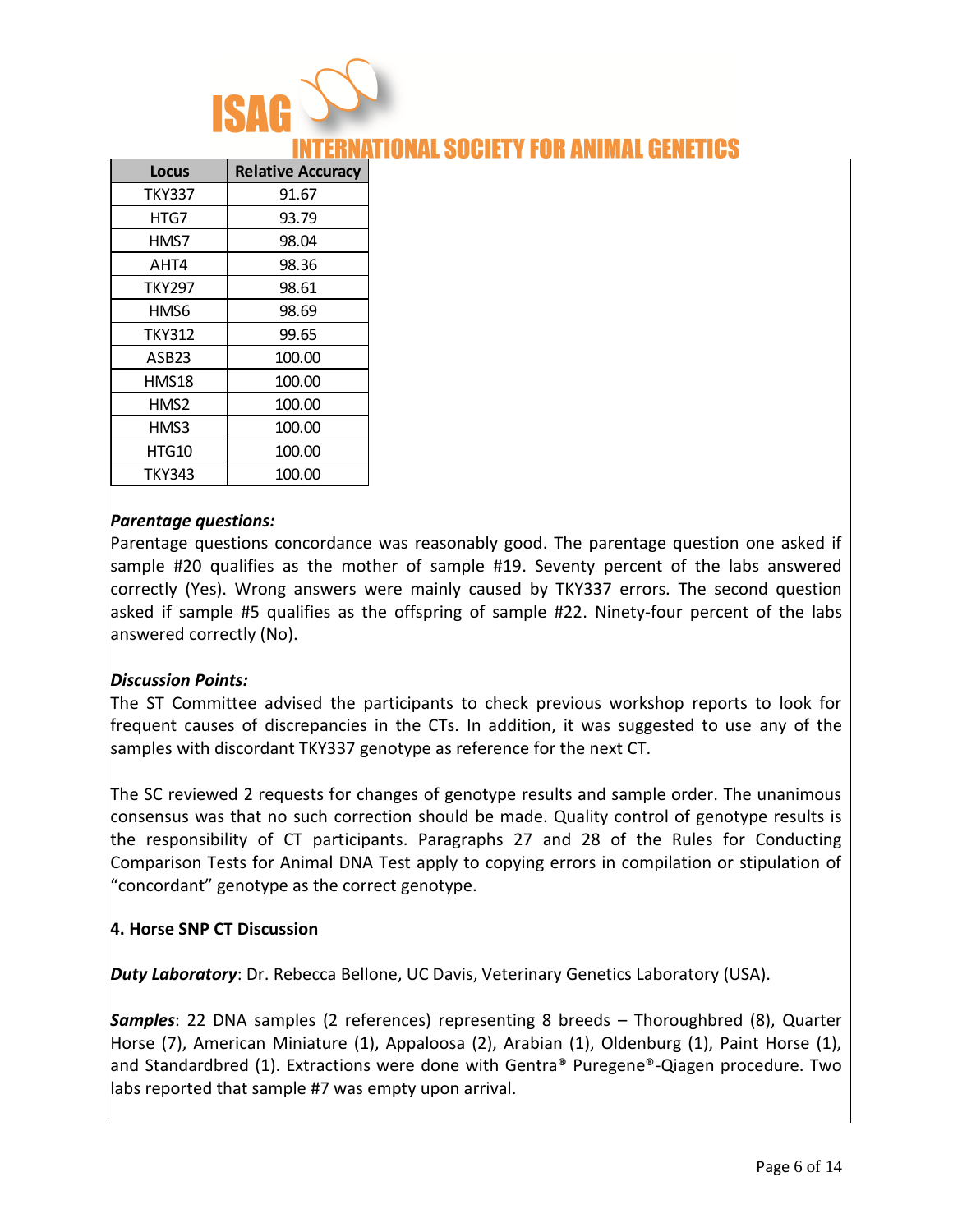

### NAL SOCIETY FOR ANIMAL G

| <b>Locus</b>      | <b>Relative Accuracy</b> |
|-------------------|--------------------------|
| TKY337            | 91.67                    |
| HTG7              | 93.79                    |
| HMS7              | 98.04                    |
| AHT4              | 98.36                    |
| <b>TKY297</b>     | 98.61                    |
| HMS6              | 98.69                    |
| <b>TKY312</b>     | 99.65                    |
| ASB <sub>23</sub> | 100.00                   |
| HMS18             | 100.00                   |
| HMS2              | 100.00                   |
| HMS3              | 100.00                   |
| HTG10             | 100.00                   |
| <b>TKY343</b>     | 100.00                   |

#### *Parentage questions:*

Parentage questions concordance was reasonably good. The parentage question one asked if sample #20 qualifies as the mother of sample #19. Seventy percent of the labs answered correctly (Yes). Wrong answers were mainly caused by TKY337 errors. The second question asked if sample #5 qualifies as the offspring of sample #22. Ninety-four percent of the labs answered correctly (No).

#### *Discussion Points:*

The ST Committee advised the participants to check previous workshop reports to look for frequent causes of discrepancies in the CTs. In addition, it was suggested to use any of the samples with discordant TKY337 genotype as reference for the next CT.

The SC reviewed 2 requests for changes of genotype results and sample order. The unanimous consensus was that no such correction should be made. Quality control of genotype results is the responsibility of CT participants. Paragraphs 27 and 28 of the Rules for Conducting Comparison Tests for Animal DNA Test apply to copying errors in compilation or stipulation of "concordant" genotype as the correct genotype.

#### **4. Horse SNP CT Discussion**

*Duty Laboratory*: Dr. Rebecca Bellone, UC Davis, Veterinary Genetics Laboratory (USA).

*Samples*: 22 DNA samples (2 references) representing 8 breeds – Thoroughbred (8), Quarter Horse (7), American Miniature (1), Appaloosa (2), Arabian (1), Oldenburg (1), Paint Horse (1), and Standardbred (1). Extractions were done with Gentra® Puregene®-Qiagen procedure. Two labs reported that sample #7 was empty upon arrival.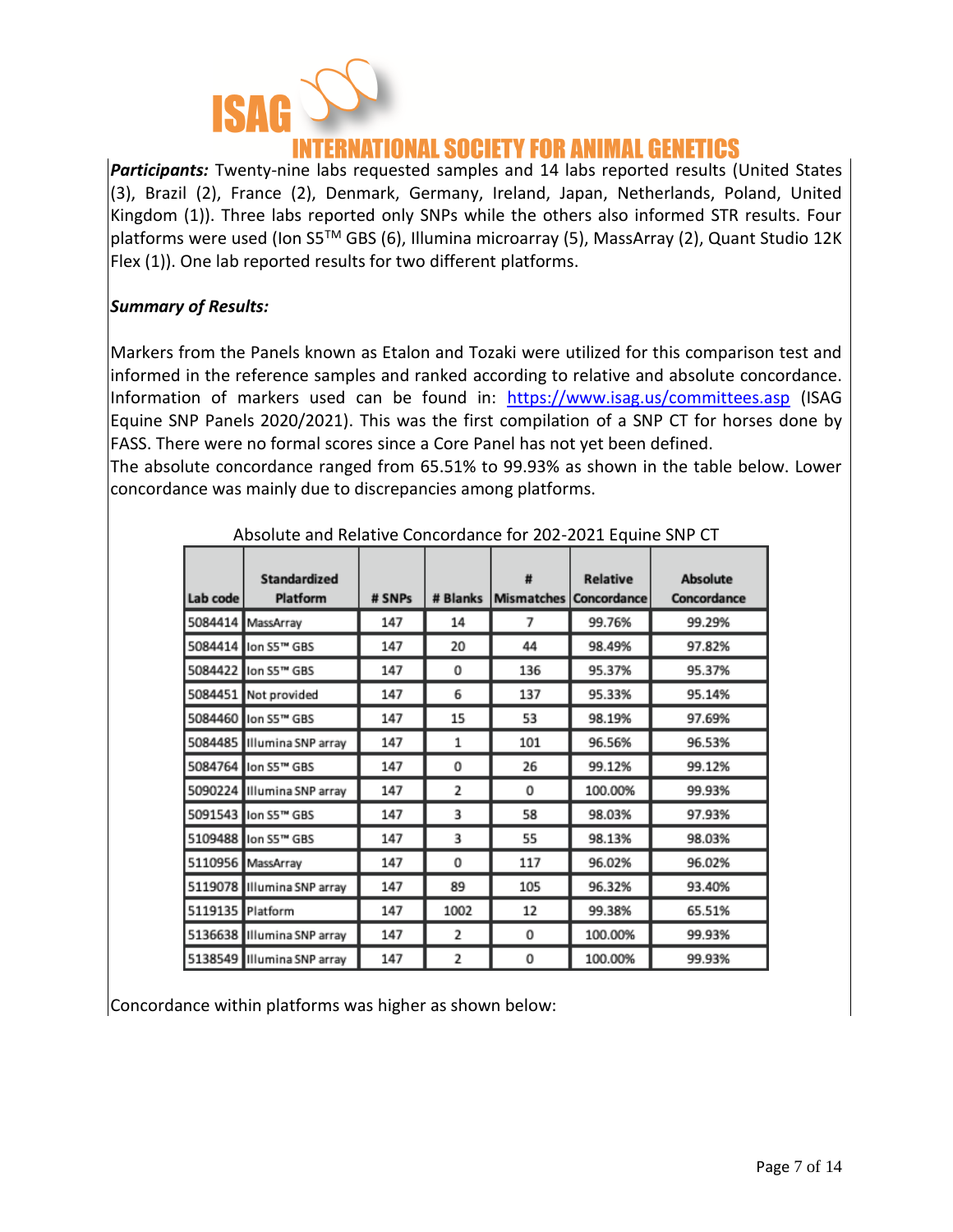

### NATIONAL SOCIETY FOR ANIMAL GENETICS

*Participants:* Twenty-nine labs requested samples and 14 labs reported results (United States (3), Brazil (2), France (2), Denmark, Germany, Ireland, Japan, Netherlands, Poland, United Kingdom (1)). Three labs reported only SNPs while the others also informed STR results. Four platforms were used (Ion S5TM GBS (6), Illumina microarray (5), MassArray (2), Quant Studio 12K Flex (1)). One lab reported results for two different platforms.

#### *Summary of Results:*

Markers from the Panels known as Etalon and Tozaki were utilized for this comparison test and informed in the reference samples and ranked according to relative and absolute concordance. Information of markers used can be found in: <https://www.isag.us/committees.asp> (ISAG Equine SNP Panels 2020/2021). This was the first compilation of a SNP CT for horses done by FASS. There were no formal scores since a Core Panel has not yet been defined.

The absolute concordance ranged from 65.51% to 99.93% as shown in the table below. Lower concordance was mainly due to discrepancies among platforms.

| Lab code         | <b>Standardized</b><br>Platform | # SNPs | # Blanks       | ₩<br><b>Mismatches</b> | <b>Relative</b><br>Concordance | <b>Absolute</b><br>Concordance |
|------------------|---------------------------------|--------|----------------|------------------------|--------------------------------|--------------------------------|
|                  | 5084414 MassArray               | 147    | 14             | 7                      | 99.76%                         | 99.29%                         |
|                  | 5084414 lon S5™ GBS             | 147    | 20             | 44                     | 98.49%                         | 97.82%                         |
|                  | 5084422 llon S5™ GBS            | 147    | 0              | 136                    | 95.37%                         | 95.37%                         |
|                  | 5084451 Not provided            | 147    | 6              | 137                    | 95.33%                         | 95.14%                         |
|                  | 5084460 lon S5™ GBS             | 147    | 15             | 53                     | 98.19%                         | 97.69%                         |
|                  | 5084485 Illumina SNP array      | 147    | 1              | 101                    | 96.56%                         | 96.53%                         |
|                  | 5084764 llon S5™ GBS            | 147    | 0              | 26                     | 99.12%                         | 99.12%                         |
|                  | 5090224 Illumina SNP array      | 147    | 2              | 0                      | 100.00%                        | 99.93%                         |
|                  | 5091543 llon S5™ GBS            | 147    | 3              | 58                     | 98.03%                         | 97.93%                         |
|                  | 5109488 lon S5™ GBS             | 147    | 3              | 55                     | 98.13%                         | 98.03%                         |
|                  | 5110956 MassArray               | 147    | 0              | 117                    | 96.02%                         | 96.02%                         |
|                  | 5119078 Illumina SNP array      | 147    | 89             | 105                    | 96.32%                         | 93.40%                         |
| 5119135 Platform |                                 | 147    | 1002           | 12                     | 99.38%                         | 65.51%                         |
|                  | 5136638 Illumina SNP array      | 147    | 2              | 0                      | 100.00%                        | 99.93%                         |
|                  | 5138549 Illumina SNP array      | 147    | $\overline{2}$ | 0                      | 100.00%                        | 99.93%                         |

Absolute and Relative Concordance for 202-2021 Equine SNP CT

Concordance within platforms was higher as shown below: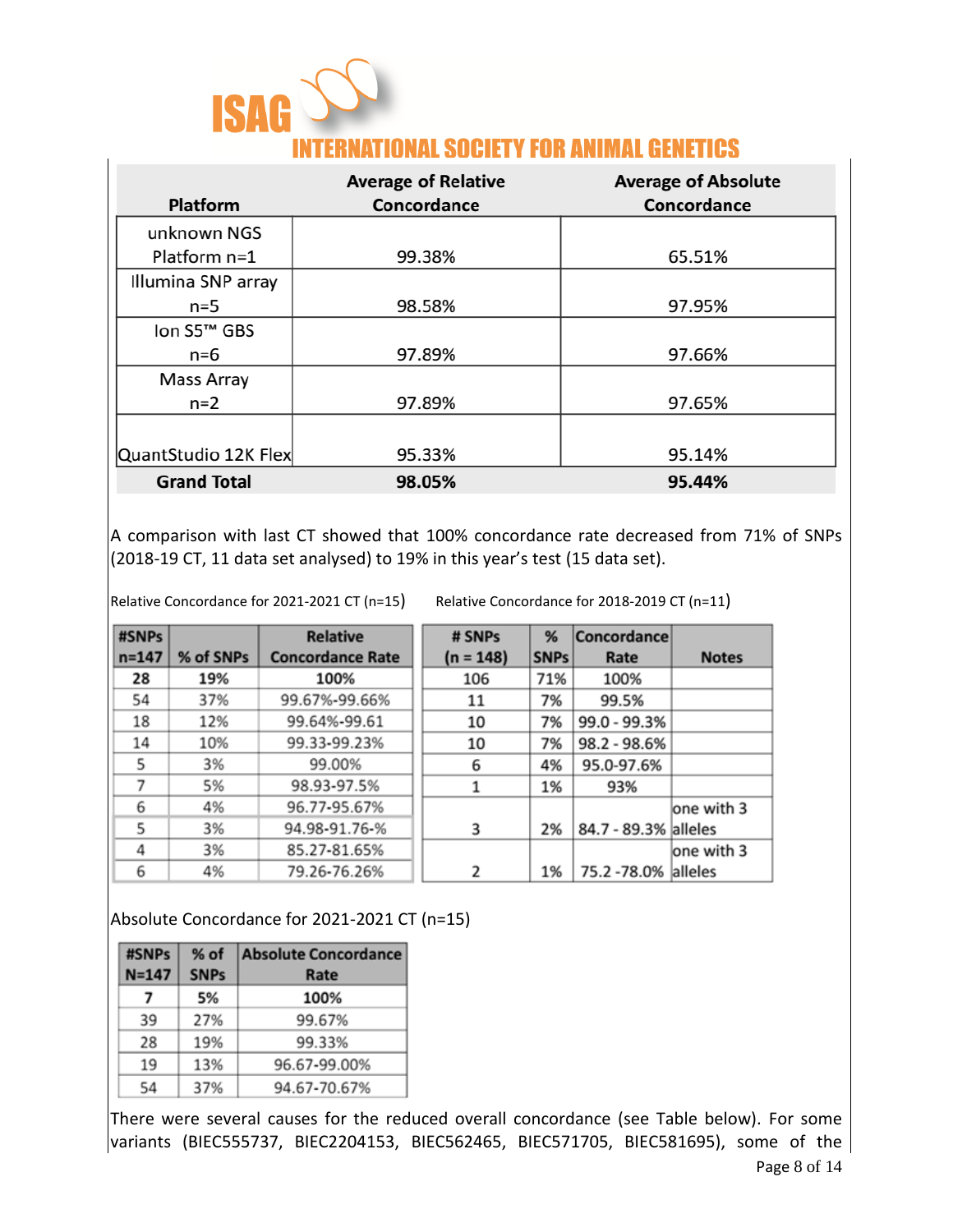| <b>ISAG</b> |                                                  |
|-------------|--------------------------------------------------|
|             | <b>INTERNATIONAL SOCIETY FOR ANIMAL GENETICS</b> |

| Platform                | <b>Average of Relative</b><br>Concordance | <b>Average of Absolute</b><br>Concordance |
|-------------------------|-------------------------------------------|-------------------------------------------|
| unknown NGS             |                                           |                                           |
| Platform n=1            | 99.38%                                    | 65.51%                                    |
| Illumina SNP array      |                                           |                                           |
| $n=5$                   | 98.58%                                    | 97.95%                                    |
| Ion S5 <sup>™</sup> GBS |                                           |                                           |
| n=6                     | 97.89%                                    | 97.66%                                    |
| <b>Mass Array</b>       |                                           |                                           |
| $n=2$                   | 97.89%                                    | 97.65%                                    |
|                         |                                           |                                           |
| QuantStudio 12K Flex    | 95.33%                                    | 95.14%                                    |
| <b>Grand Total</b>      | 98.05%                                    | 95.44%                                    |

A comparison with last CT showed that 100% concordance rate decreased from 71% of SNPs  $(2018-19$  CT, 11 data set analysed) to 19% in this year's test (15 data set).

Relative Concordance for 2021-2021 CT (n=15) Relative Concordance for 2018-2019 CT (n=11)

| #SNPs     |           | <b>Relative</b>         | # SNPs      | %           | Concordance          |              |
|-----------|-----------|-------------------------|-------------|-------------|----------------------|--------------|
| $n = 147$ | % of SNPs | <b>Concordance Rate</b> | $(n = 148)$ | <b>SNPs</b> | Rate                 | <b>Notes</b> |
| 28        | 19%       | 100%                    | 106         | 71%         | 100%                 |              |
| 54        | 37%       | 99.67%-99.66%           | 11          | 7%          | 99.5%                |              |
| 18        | 12%       | 99.64%-99.61            | 10          | 7%          | 99.0 - 99.3%         |              |
| 14        | 10%       | 99.33-99.23%            | 10          | 7%          | 98.2 - 98.6%         |              |
| 5         | 3%        | 99.00%                  | 6           | 4%          | 95.0-97.6%           |              |
| 7         | 5%        | 98.93-97.5%             |             | 1%          | 93%                  |              |
| 6         | 4%        | 96.77-95.67%            |             |             |                      | one with 3   |
| 5         | 3%        | 94.98-91.76-%           | 3           | 2%          | 84.7 - 89.3% alleles |              |
| 4         | 3%        | 85.27-81.65%            |             |             |                      | one with 3   |
| 6         | 4%        | 79.26-76.26%            | 2           | 1%          | 75.2 - 78.0% alleles |              |

Absolute Concordance for 2021-2021 CT (n=15)

| #SNPs<br>$N = 147$ | $%$ of<br><b>SNPs</b> | <b>Absolute Concordance</b><br>Rate |
|--------------------|-----------------------|-------------------------------------|
| 7                  | 5%                    | 100%                                |
| 39                 | 27%                   | 99.67%                              |
| 28                 | 19%                   | 99.33%                              |
| 19                 | 13%                   | 96.67-99.00%                        |
| 54                 | 37%                   | 94.67-70.67%                        |

There were several causes for the reduced overall concordance (see Table below). For some variants (BIEC555737, BIEC2204153, BIEC562465, BIEC571705, BIEC581695), some of the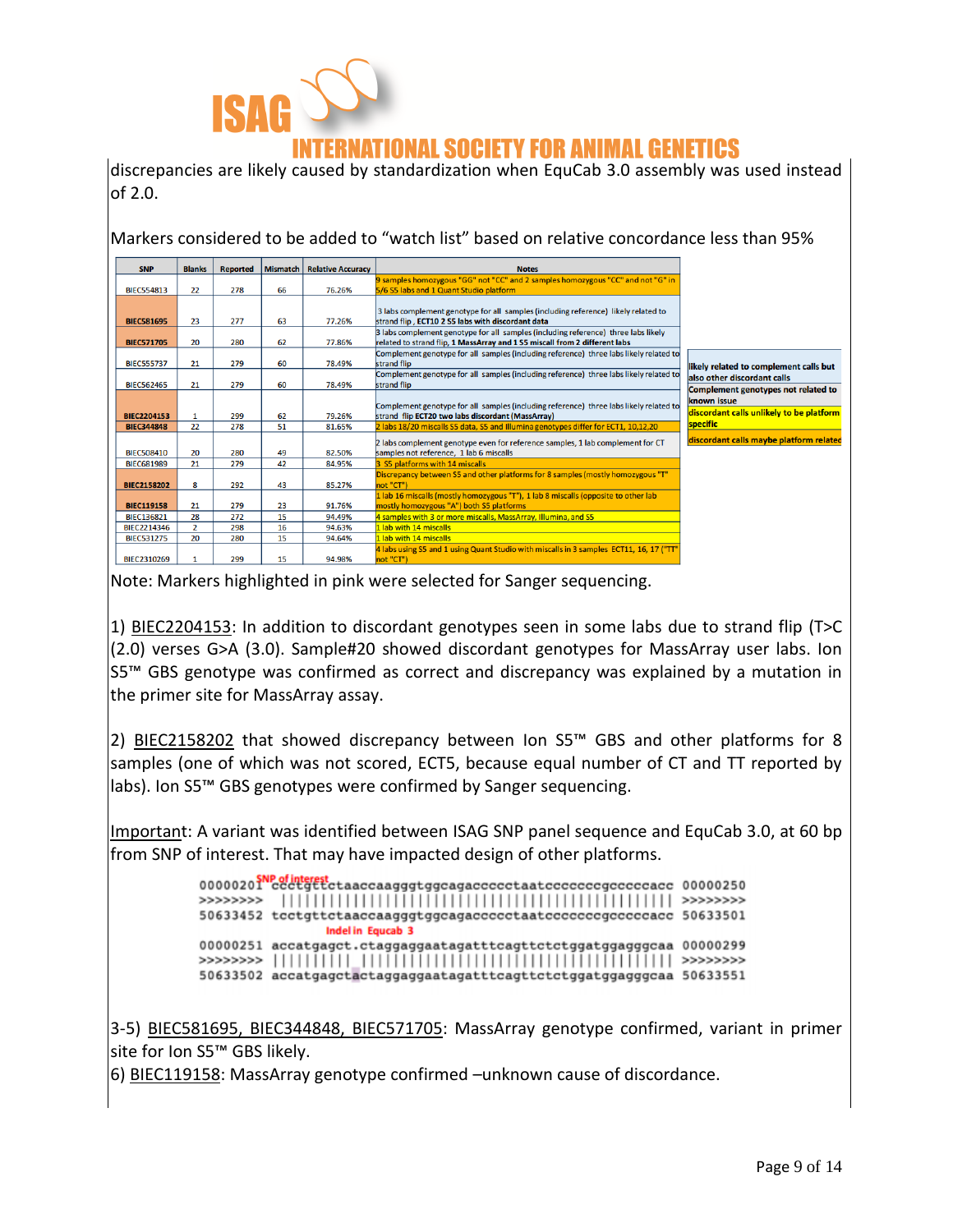

### ATIONAL SOCIETY FOR ANIMAL GENETICS

discrepancies are likely caused by standardization when EquCab 3.0 assembly was used instead of 2.0.

Markers considered to be added to "watch list" based on relative concordance less than 95%

| <b>SNP</b>                                     | <b>Blanks</b>                                     | <b>Reported</b> | <b>Mismatch</b>        | <b>Relative Accuracy</b> | <b>Notes</b>                                                                                                                                                     |                                                                                                |
|------------------------------------------------|---------------------------------------------------|-----------------|------------------------|--------------------------|------------------------------------------------------------------------------------------------------------------------------------------------------------------|------------------------------------------------------------------------------------------------|
|                                                |                                                   |                 |                        |                          | 9 samples homozygous "GG" not "CC" and 2 samples homozygous "CC" and not "G" in                                                                                  |                                                                                                |
| <b>BIEC554813</b>                              | 22                                                | 278             | 66                     | 76.26%                   | 5/6 S5 labs and 1 Quant Studio platform                                                                                                                          |                                                                                                |
| <b>BIEC581695</b>                              | 23                                                | 277             | 63                     | 77.26%                   | 3 labs complement genotype for all samples (including reference) likely related to<br>strand flip, ECT10 2 S5 labs with discordant data                          |                                                                                                |
| <b>BIEC571705</b>                              | 20                                                | 280             | 62                     | 77.86%                   | 3 labs complement genotype for all samples (including reference) three labs likely<br>related to strand flip, 1 MassArray and 1 S5 miscall from 2 different labs |                                                                                                |
| <b>BIEC555737</b>                              | 21                                                | 279             | 60                     | 78.49%                   | Complement genotype for all samples (including reference) three labs likely related to<br>strand flip                                                            | likely related to complement calls but                                                         |
| <b>BIEC562465</b>                              | 21                                                | 279             | 60                     | 78.49%                   | Complement genotype for all samples (including reference) three labs likely related to<br>strand flip                                                            | also other discordant calls                                                                    |
| <b>BIEC2204153</b>                             | 1                                                 | 299             | 62                     | 79.26%                   | Complement genotype for all samples (including reference) three labs likely related to<br>strand flip ECT20 two labs discordant (MassArray)                      | Complement genotypes not related to<br>known issue<br>discordant calls unlikely to be platform |
| <b>BIEC344848</b>                              | 22                                                | 278             | 51                     | 81.65%                   | 2 labs 18/20 miscalls S5 data, S5 and Illumina genotypes differ for ECT1, 10,12,20                                                                               | specific                                                                                       |
| <b>BIEC508410</b>                              | 20                                                | 280             | 49                     | 82.50%                   | 2 labs complement genotype even for reference samples, 1 lab complement for CT<br>samples not reference, 1 lab 6 miscalls                                        | discordant calls maybe platform related                                                        |
| <b>BIEC681989</b>                              | 21                                                | 279             | 42                     | 84.95%                   | 3 S5 platforms with 14 miscalls                                                                                                                                  |                                                                                                |
| <b>BIEC2158202</b>                             | 8                                                 | 292             | 43                     | 85.27%                   | Discrepancy between S5 and other platforms for 8 samples (mostly homozygous "T"<br>not "CT")                                                                     |                                                                                                |
| <b>BIEC119158</b>                              | 21                                                | 279             | 23                     | 91.76%                   | 1 lab 16 miscalls (mostly homozygous "T"), 1 lab 8 miscalls (opposite to other lab<br>mostly homozygous "A") both S5 platforms                                   |                                                                                                |
| <b>BIEC136821</b>                              | 28                                                | 272             | 15                     | 94.49%                   | 4 samples with 3 or more miscalls, MassArray, Illumina, and S5                                                                                                   |                                                                                                |
| <b>BIEC2214346</b>                             | Llab with 14 miscalls<br>16<br>2<br>298<br>94.63% |                 |                        |                          |                                                                                                                                                                  |                                                                                                |
| 15<br>20<br>280<br><b>BIEC531275</b><br>94.64% |                                                   |                 | 1 lab with 14 miscalls |                          |                                                                                                                                                                  |                                                                                                |
| BIFC2310269                                    |                                                   | 299             | 15                     | 94.98%                   | 4 labs using S5 and 1 using Quant Studio with miscalls in 3 samples ECT11, 16, 17 ("TT"<br>not "CT")                                                             |                                                                                                |

Note: Markers highlighted in pink were selected for Sanger sequencing.

1) BIEC2204153: In addition to discordant genotypes seen in some labs due to strand flip (T>C (2.0) verses G>A (3.0). Sample#20 showed discordant genotypes for MassArray user labs. Ion S5™ GBS genotype was confirmed as correct and discrepancy was explained by a mutation in the primer site for MassArray assay.

2) BIEC2158202 that showed discrepancy between Ion S5™ GBS and other platforms for 8 samples (one of which was not scored, ECT5, because equal number of CT and TT reported by labs). Ion S5™ GBS genotypes were confirmed by Sanger sequencing.

Important: A variant was identified between ISAG SNP panel sequence and EquCab 3.0, at 60 bp from SNP of interest. That may have impacted design of other platforms.

> 0000020 Por of interest<br>0000020 Pccctgttctaaccaagggtggcagacccctaatcccccccgcccccacc 00000250 50633452 tectgttctaaccaagggtggcagaccccctaatcccccccgcccccacc 50633501 Indel in Equcab 3 00000251 accatgagct.ctaggaggaatagatttcagttctctggatggagggcaa 00000299

3-5) BIEC581695, BIEC344848, BIEC571705: MassArray genotype confirmed, variant in primer site for Ion S5™ GBS likely.

6) BIEC119158: MassArray genotype confirmed –unknown cause of discordance.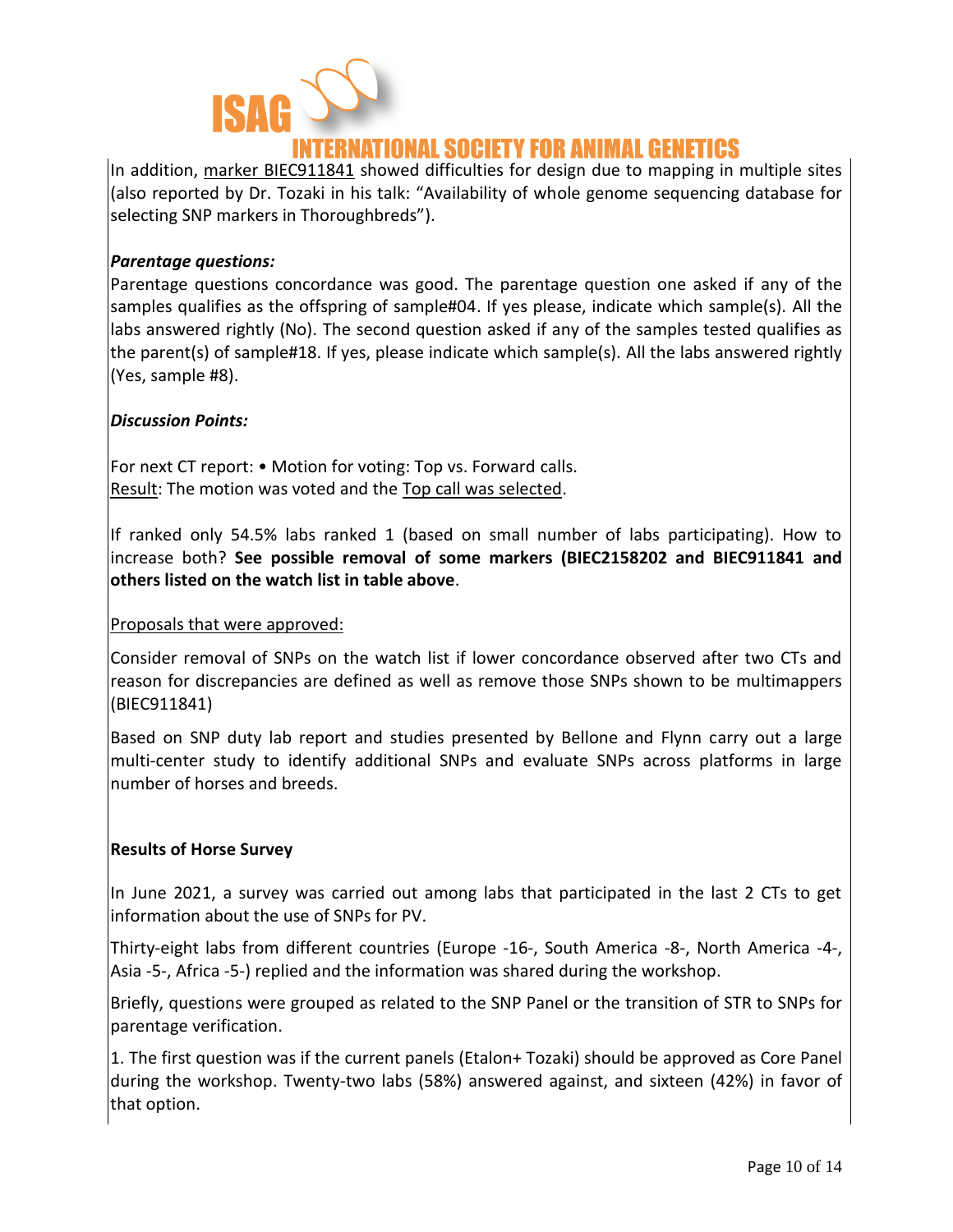

### VATIONAL SOCIETY FOR ANIMAL GENETICS

In addition, marker BIEC911841 showed difficulties for design due to mapping in multiple sites (also reported by Dr. Tozaki in his talk: "Availability of whole genome sequencing database for selecting SNP markers in Thoroughbreds").

#### *Parentage questions:*

Parentage questions concordance was good. The parentage question one asked if any of the samples qualifies as the offspring of sample#04. If yes please, indicate which sample(s). All the labs answered rightly (No). The second question asked if any of the samples tested qualifies as the parent(s) of sample#18. If yes, please indicate which sample(s). All the labs answered rightly (Yes, sample #8).

#### *Discussion Points:*

For next CT report: • Motion for voting: Top vs. Forward calls. Result: The motion was voted and the Top call was selected.

If ranked only 54.5% labs ranked 1 (based on small number of labs participating). How to increase both? **See possible removal of some markers (BIEC2158202 and BIEC911841 and others listed on the watch list in table above**.

#### Proposals that were approved:

Consider removal of SNPs on the watch list if lower concordance observed after two CTs and reason for discrepancies are defined as well as remove those SNPs shown to be multimappers (BIEC911841)

Based on SNP duty lab report and studies presented by Bellone and Flynn carry out a large multi-center study to identify additional SNPs and evaluate SNPs across platforms in large number of horses and breeds.

#### **Results of Horse Survey**

In June 2021, a survey was carried out among labs that participated in the last 2 CTs to get information about the use of SNPs for PV.

Thirty-eight labs from different countries (Europe -16-, South America -8-, North America -4-, Asia -5-, Africa -5-) replied and the information was shared during the workshop.

Briefly, questions were grouped as related to the SNP Panel or the transition of STR to SNPs for parentage verification.

1. The first question was if the current panels (Etalon+ Tozaki) should be approved as Core Panel during the workshop. Twenty-two labs (58%) answered against, and sixteen (42%) in favor of that option.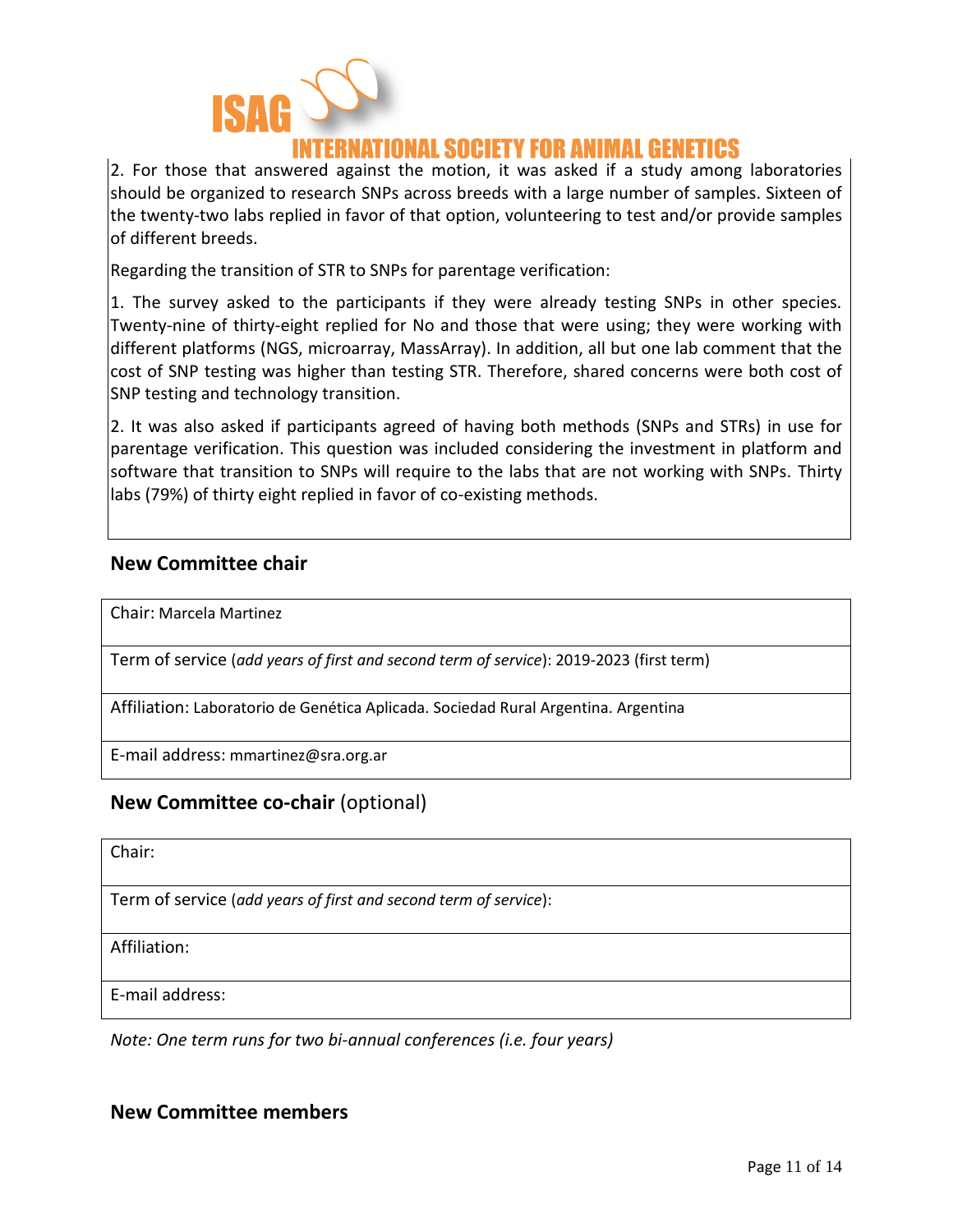

2. For those that answered against the motion, it was asked if a study among laboratories should be organized to research SNPs across breeds with a large number of samples. Sixteen of the twenty-two labs replied in favor of that option, volunteering to test and/or provide samples of different breeds.

Regarding the transition of STR to SNPs for parentage verification:

1. The survey asked to the participants if they were already testing SNPs in other species. Twenty-nine of thirty-eight replied for No and those that were using; they were working with different platforms (NGS, microarray, MassArray). In addition, all but one lab comment that the cost of SNP testing was higher than testing STR. Therefore, shared concerns were both cost of SNP testing and technology transition.

2. It was also asked if participants agreed of having both methods (SNPs and STRs) in use for parentage verification. This question was included considering the investment in platform and software that transition to SNPs will require to the labs that are not working with SNPs. Thirty labs (79%) of thirty eight replied in favor of co-existing methods.

#### **New Committee chair**

Chair: Marcela Martinez

Term of service (*add years of first and second term of service*): 2019-2023 (first term)

Affiliation: Laboratorio de Genética Aplicada. Sociedad Rural Argentina. Argentina

E-mail address: mmartinez@sra.org.ar

#### **New Committee co-chair** (optional)

Chair:

Term of service (*add years of first and second term of service*):

Affiliation:

E-mail address:

*Note: One term runs for two bi-annual conferences (i.e. four years)*

#### **New Committee members**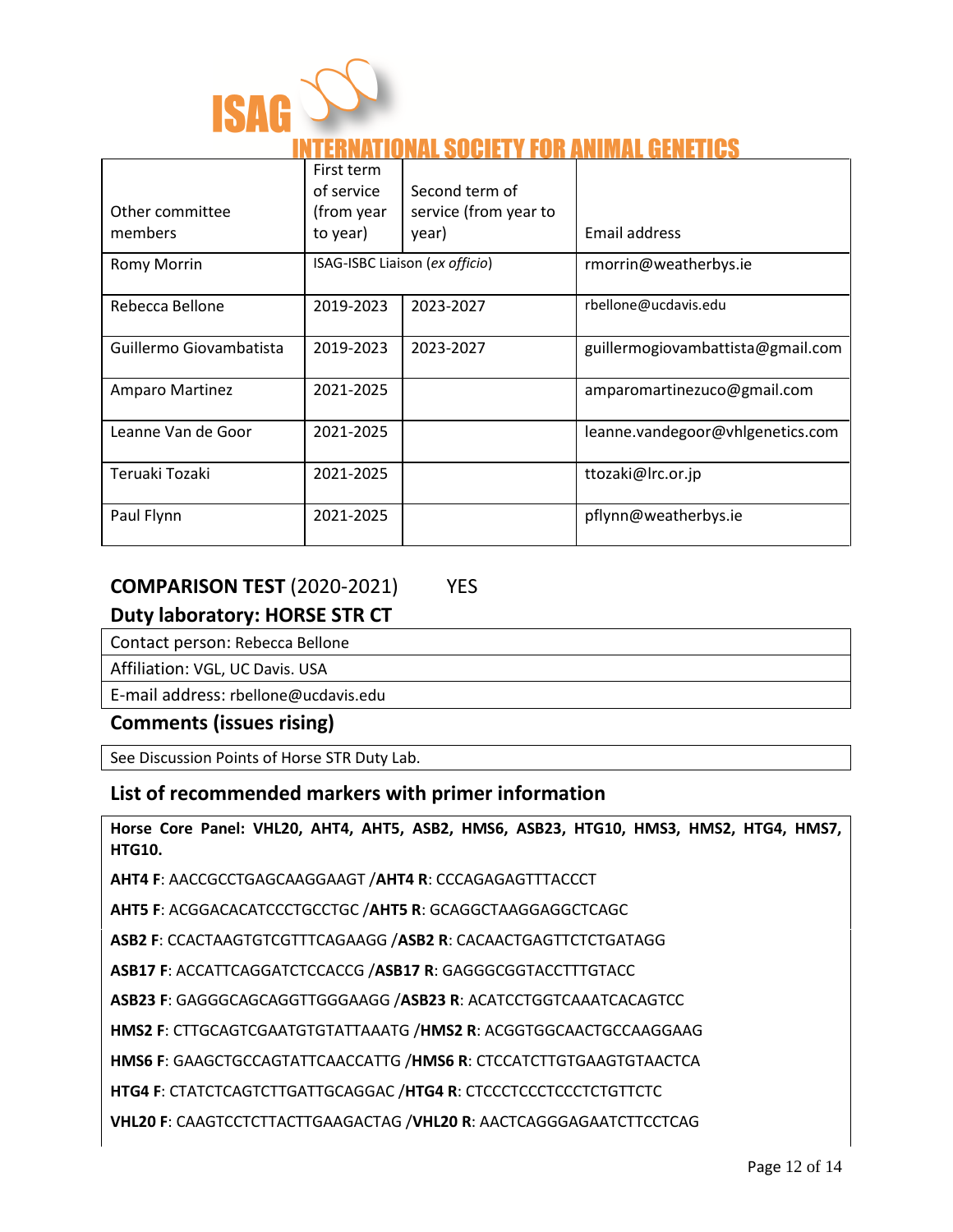

### **ATIONAL SOCIETY FOR ANIMAL GENETICS**

| Other committee<br>members | First term<br>of service<br>(from year<br>to year) | Second term of<br>service (from year to<br>year) | Email address                     |
|----------------------------|----------------------------------------------------|--------------------------------------------------|-----------------------------------|
| <b>Romy Morrin</b>         |                                                    | ISAG-ISBC Liaison (ex officio)                   | rmorrin@weatherbys.ie             |
| Rebecca Bellone            | 2019-2023                                          | 2023-2027                                        | rbellone@ucdavis.edu              |
| Guillermo Giovambatista    | 2019-2023                                          | 2023-2027                                        | guillermogiovambattista@gmail.com |
| Amparo Martinez            | 2021-2025                                          |                                                  | amparomartinezuco@gmail.com       |
| Leanne Van de Goor         | 2021-2025                                          |                                                  | leanne.vandegoor@vhlgenetics.com  |
| Teruaki Tozaki             | 2021-2025                                          |                                                  | ttozaki@lrc.or.jp                 |
| Paul Flynn                 | 2021-2025                                          |                                                  | pflynn@weatherbys.ie              |

### **COMPARISON TEST** (2020-2021) YES

#### **Duty laboratory: HORSE STR CT**

Contact person: Rebecca Bellone

Affiliation: VGL, UC Davis. USA

E-mail address: rbellone@ucdavis.edu

#### **Comments (issues rising)**

See Discussion Points of Horse STR Duty Lab.

#### **List of recommended markers with primer information**

**Horse Core Panel: VHL20, AHT4, AHT5, ASB2, HMS6, ASB23, HTG10, HMS3, HMS2, HTG4, HMS7, HTG10.**

**AHT4 F**: AACCGCCTGAGCAAGGAAGT /**AHT4 R**: CCCAGAGAGTTTACCCT

**AHT5 F**: ACGGACACATCCCTGCCTGC /**AHT5 R**: GCAGGCTAAGGAGGCTCAGC

**ASB2 F**: CCACTAAGTGTCGTTTCAGAAGG /**ASB2 R**: CACAACTGAGTTCTCTGATAGG

**ASB17 F**: ACCATTCAGGATCTCCACCG /**ASB17 R**: GAGGGCGGTACCTTTGTACC

**ASB23 F**: GAGGGCAGCAGGTTGGGAAGG /**ASB23 R**: ACATCCTGGTCAAATCACAGTCC

**HMS2 F**: CTTGCAGTCGAATGTGTATTAAATG /**HMS2 R**: ACGGTGGCAACTGCCAAGGAAG

**HMS6 F**: GAAGCTGCCAGTATTCAACCATTG /**HMS6 R**: CTCCATCTTGTGAAGTGTAACTCA

**HTG4 F**: CTATCTCAGTCTTGATTGCAGGAC /**HTG4 R**: CTCCCTCCCTCCCTCTGTTCTC

**VHL20 F**: CAAGTCCTCTTACTTGAAGACTAG /**VHL20 R**: AACTCAGGGAGAATCTTCCTCAG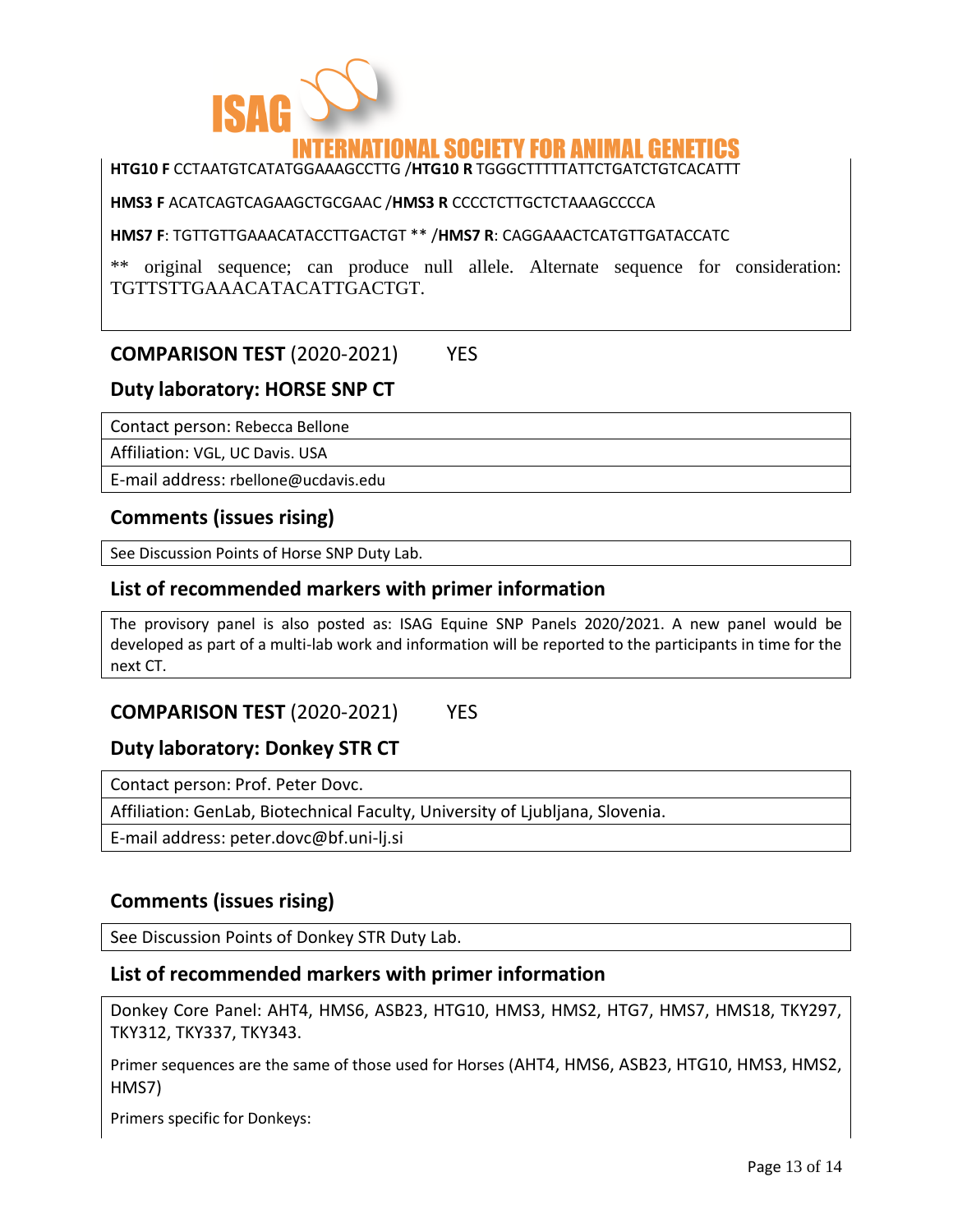

### ATIONAL SOCIETY FOR ANIMAL GENET

#### **HTG10 F** CCTAATGTCATATGGAAAGCCTTG /**HTG10 R** TGGGCTTTTTATTCTGATCTGTCACATTT

**HMS3 F** ACATCAGTCAGAAGCTGCGAAC /**HMS3 R** CCCCTCTTGCTCTAAAGCCCCA

**HMS7 F**: TGTTGTTGAAACATACCTTGACTGT \*\* /**HMS7 R**: CAGGAAACTCATGTTGATACCATC

\*\* original sequence; can produce null allele. Alternate sequence for consideration: TGTTSTTGAAACATACATTGACTGT.

### **COMPARISON TEST** (2020-2021) YES

#### **Duty laboratory: HORSE SNP CT**

Contact person: Rebecca Bellone

Affiliation: VGL, UC Davis. USA

E-mail address: rbellone@ucdavis.edu

#### **Comments (issues rising)**

See Discussion Points of Horse SNP Duty Lab.

#### **List of recommended markers with primer information**

The provisory panel is also posted as: ISAG Equine SNP Panels 2020/2021. A new panel would be developed as part of a multi-lab work and information will be reported to the participants in time for the next CT.

### **COMPARISON TEST** (2020-2021) YES

#### **Duty laboratory: Donkey STR CT**

Contact person: Prof. Peter Dovc.

Affiliation: GenLab, Biotechnical Faculty, University of Ljubljana, Slovenia.

E-mail address: peter.dovc@bf.uni-lj.si

#### **Comments (issues rising)**

See Discussion Points of Donkey STR Duty Lab.

#### **List of recommended markers with primer information**

Donkey Core Panel: AHT4, HMS6, ASB23, HTG10, HMS3, HMS2, HTG7, HMS7, HMS18, TKY297, TKY312, TKY337, TKY343.

Primer sequences are the same of those used for Horses (AHT4, HMS6, ASB23, HTG10, HMS3, HMS2, HMS7)

Primers specific for Donkeys: